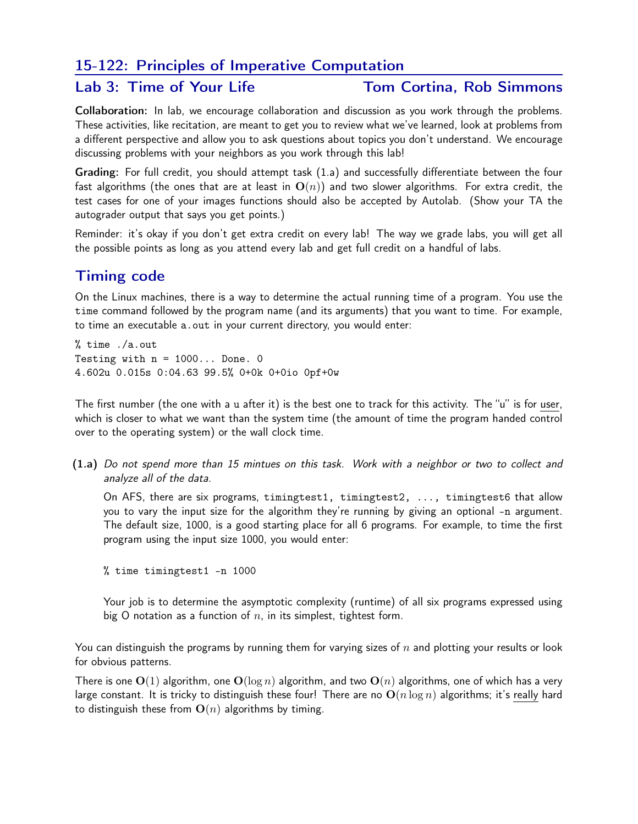## 15-122: Principles of Imperative Computation

### Lab 3: Time of Your Life Tom Cortina, Rob Simmons

Collaboration: In lab, we encourage collaboration and discussion as you work through the problems. These activities, like recitation, are meant to get you to review what we've learned, look at problems from a different perspective and allow you to ask questions about topics you don't understand. We encourage discussing problems with your neighbors as you work through this lab!

Grading: For full credit, you should attempt task (1.a) and successfully differentiate between the four fast algorithms (the ones that are at least in  $O(n)$ ) and two slower algorithms. For extra credit, the test cases for one of your images functions should also be accepted by Autolab. (Show your TA the autograder output that says you get points.)

Reminder: it's okay if you don't get extra credit on every lab! The way we grade labs, you will get all the possible points as long as you attend every lab and get full credit on a handful of labs.

# Timing code

On the Linux machines, there is a way to determine the actual running time of a program. You use the time command followed by the program name (and its arguments) that you want to time. For example, to time an executable a.out in your current directory, you would enter:

% time ./a.out Testing with  $n = 1000...$  Done. 0 4.602u 0.015s 0:04.63 99.5% 0+0k 0+0io 0pf+0w

The first number (the one with a u after it) is the best one to track for this activity. The "u" is for user, which is closer to what we want than the system time (the amount of time the program handed control over to the operating system) or the wall clock time.

(1.a) Do not spend more than 15 mintues on this task. Work with a neighbor or two to collect and analyze all of the data.

On AFS, there are six programs, timingtest1, timingtest2, ..., timingtest6 that allow you to vary the input size for the algorithm they're running by giving an optional -n argument. The default size, 1000, is a good starting place for all 6 programs. For example, to time the first program using the input size 1000, you would enter:

% time timingtest1 -n 1000

Your job is to determine the asymptotic complexity (runtime) of all six programs expressed using big O notation as a function of  $n$ , in its simplest, tightest form.

You can distinguish the programs by running them for varying sizes of  $n$  and plotting your results or look for obvious patterns.

There is one  $O(1)$  algorithm, one  $O(\log n)$  algorithm, and two  $O(n)$  algorithms, one of which has a very large constant. It is tricky to distinguish these four! There are no  $O(n \log n)$  algorithms; it's really hard to distinguish these from  $O(n)$  algorithms by timing.